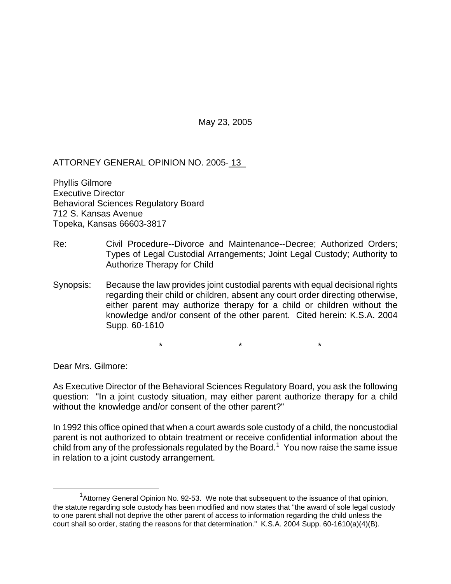May 23, 2005

ATTORNEY GENERAL OPINION NO. 2005- 13

Phyllis Gilmore Executive Director Behavioral Sciences Regulatory Board 712 S. Kansas Avenue Topeka, Kansas 66603-3817

- Re: Civil Procedure--Divorce and Maintenance--Decree; Authorized Orders; Types of Legal Custodial Arrangements; Joint Legal Custody; Authority to Authorize Therapy for Child
- Synopsis: Because the law provides joint custodial parents with equal decisional rights regarding their child or children, absent any court order directing otherwise, either parent may authorize therapy for a child or children without the knowledge and/or consent of the other parent. Cited herein: K.S.A. 2004 Supp. 60-1610

 $\star$  \*  $\star$  \*  $\star$ 

Dear Mrs. Gilmore:

As Executive Director of the Behavioral Sciences Regulatory Board, you ask the following question: "In a joint custody situation, may either parent authorize therapy for a child without the knowledge and/or consent of the other parent?"

In 1992 this office opined that when a court awards sole custody of a child, the noncustodial parent is not authorized to obtain treatment or receive confidential information about the  $\dot{}$ child from any of the professionals regulated by the Board. $^1\,$  $^1\,$  $^1\,$  You now raise the same issue in relation to a joint custody arrangement.

<span id="page-0-0"></span> <sup>1</sup> <sup>1</sup>Attorney General Opinion No. 92-53. We note that subsequent to the issuance of that opinion, the statute regarding sole custody has been modified and now states that "the award of sole legal custody to one parent shall not deprive the other parent of access to information regarding the child unless the court shall so order, stating the reasons for that determination." K.S.A. 2004 Supp. 60-1610(a)(4)(B).